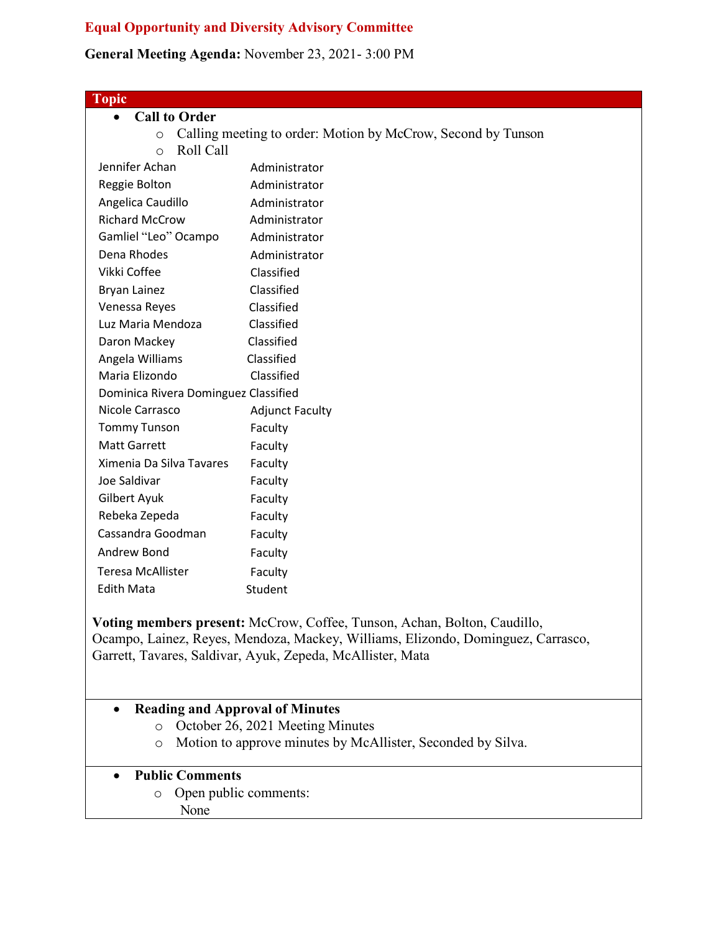## **Equal Opportunity and Diversity Advisory Committee**

## **General Meeting Agenda:** November 23, 2021- 3:00 PM

| <b>Topic</b>                                                            |                         |
|-------------------------------------------------------------------------|-------------------------|
| <b>Call to Order</b><br>$\bullet$                                       |                         |
| Calling meeting to order: Motion by McCrow, Second by Tunson<br>$\circ$ |                         |
| Roll Call<br>$\circ$                                                    |                         |
| Jennifer Achan                                                          | Administrator           |
| Reggie Bolton                                                           | Administrator           |
| Angelica Caudillo                                                       | Administrator           |
| <b>Richard McCrow</b>                                                   | Administrator           |
| Gamliel "Leo" Ocampo                                                    | Administrator           |
| Dena Rhodes                                                             | Administrator           |
| Vikki Coffee                                                            | Classified              |
| <b>Bryan Lainez</b>                                                     | Classified              |
| Venessa Reyes                                                           | Classified              |
| Luz Maria Mendoza                                                       | Classified              |
| Daron Mackey                                                            | Classified              |
| Angela Williams                                                         | Classified              |
| Maria Elizondo                                                          | Classified              |
| Dominica Rivera Dominguez Classified                                    |                         |
| Nicole Carrasco                                                         | <b>Adjunct Faculty</b>  |
| <b>Tommy Tunson</b>                                                     | Faculty                 |
| <b>Matt Garrett</b>                                                     | Faculty                 |
| Ximenia Da Silva Tavares                                                | Faculty                 |
| Joe Saldivar                                                            | Faculty                 |
| Gilbert Ayuk                                                            | Faculty                 |
| Rebeka Zepeda                                                           | Faculty                 |
| Cassandra Goodman                                                       | Faculty                 |
| Andrew Bond                                                             | Faculty                 |
| <b>Teresa McAllister</b>                                                | Faculty                 |
| <b>Edith Mata</b>                                                       | Student                 |
| $- - - -$                                                               | $\sim$ $\sim$<br>$\sim$ |

**Voting members present:** McCrow, Coffee, Tunson, Achan, Bolton, Caudillo, Ocampo, Lainez, Reyes, Mendoza, Mackey, Williams, Elizondo, Dominguez, Carrasco, Garrett, Tavares, Saldivar, Ayuk, Zepeda, McAllister, Mata

## • **Reading and Approval of Minutes**

- o October 26, 2021 Meeting Minutes
- o Motion to approve minutes by McAllister, Seconded by Silva.

## • **Public Comments**

- o Open public comments:
	- None